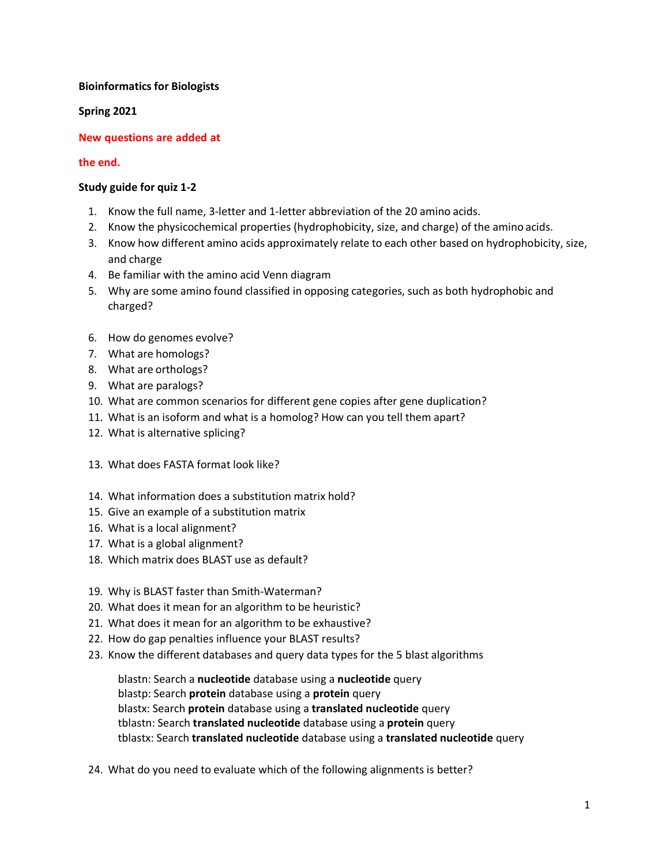### **Bioinformatics for Biologists**

**Spring 2021**

## **New questions are added at**

### **the end.**

## **Study guide for quiz 1-2**

- 1. Know the full name, 3-letter and 1-letter abbreviation of the 20 amino acids.
- 2. Know the physicochemical properties (hydrophobicity, size, and charge) of the amino acids.
- 3. Know how different amino acids approximately relate to each other based on hydrophobicity, size, and charge
- 4. Be familiar with the amino acid Venn diagram
- 5. Why are some amino found classified in opposing categories, such as both hydrophobic and charged?
- 6. How do genomes evolve?
- 7. What are homologs?
- 8. What are orthologs?
- 9. What are paralogs?
- 10. What are common scenarios for different gene copies after gene duplication?
- 11. What is an isoform and what is a homolog? How can you tell them apart?
- 12. What is alternative splicing?
- 13. What does FASTA format look like?
- 14. What information does a substitution matrix hold?
- 15. Give an example of a substitution matrix
- 16. What is a local alignment?
- 17. What is a global alignment?
- 18. Which matrix does BLAST use as default?
- 19. Why is BLAST faster than Smith-Waterman?
- 20. What does it mean for an algorithm to be heuristic?
- 21. What does it mean for an algorithm to be exhaustive?
- 22. How do gap penalties influence your BLAST results?
- 23. Know the different databases and query data types for the 5 blast algorithms

blastn: Search a **nucleotide** database using a **nucleotide** query blastp: Search **protein** database using a **protein** query blastx: Search **protein** database using a **translated nucleotide** query tblastn: Search **translated nucleotide** database using a **protein** query tblastx: Search **translated nucleotide** database using a **translated nucleotide** query

24. What do you need to evaluate which of the following alignments is better?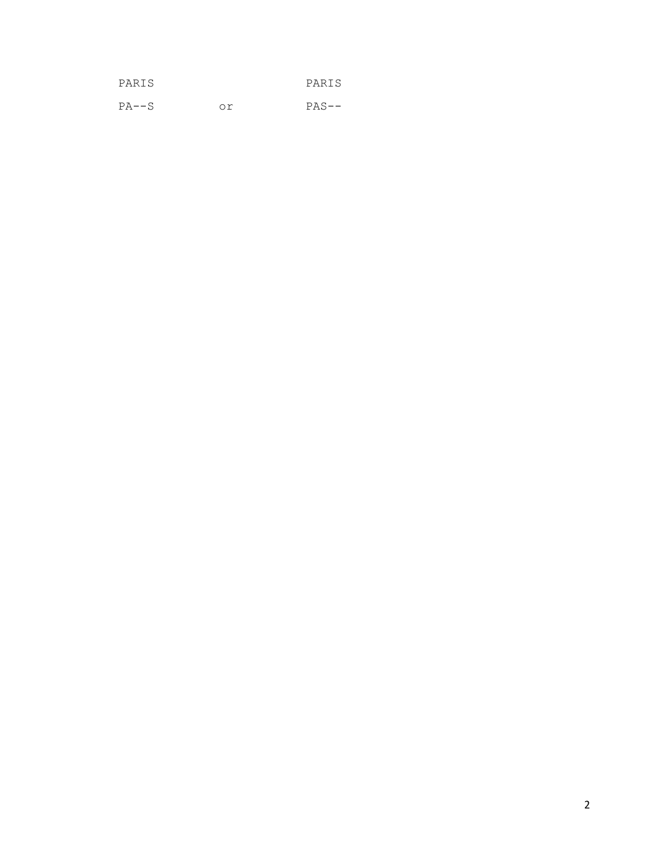| PARIS   |    | PARIS   |
|---------|----|---------|
| $PA--S$ | Ωr | $PAS--$ |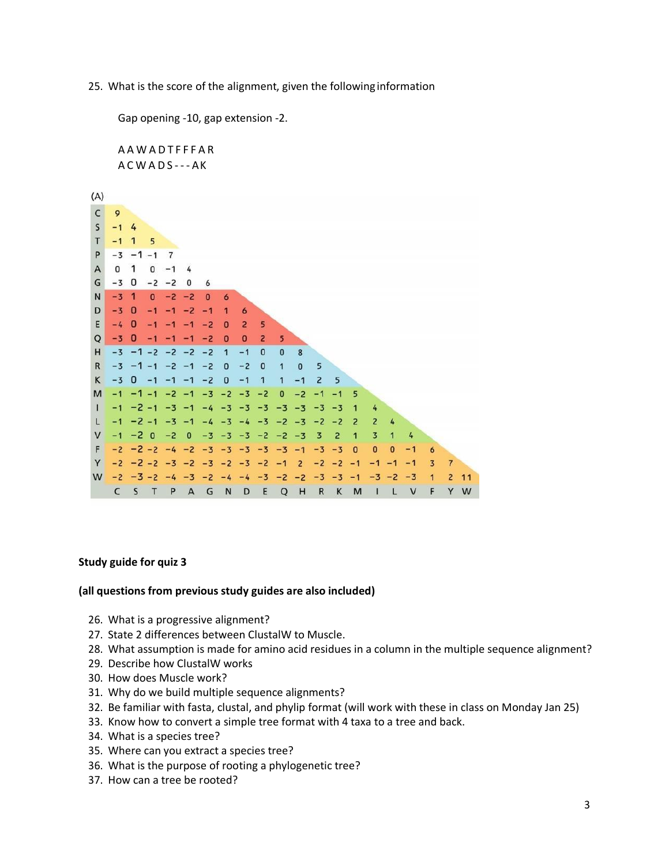25. What is the score of the alignment, given the followinginformation

Gap opening -10, gap extension -2. A A W A D T F F F A R  $AC W A D S -- AK$  $(A)$  $\mathsf{C}$  $\overline{9}$  $\mathsf{S}$  $-1$  4  $T$  $-1$  1 5  $\mathsf{P}$  $-3 - 1 - 1$  $\overline{7}$  $\overline{A}$  $0<sub>1</sub>$  $0 -1 4$ G  $-3$  0  $-2 -2 0$ 6 N  $-3$  1  $\bf{0}$  $-2 -2$  $\overline{0}$  $\ddot{\mathbf{6}}$ D  $-3$  0  $-1$   $-1$   $-2$   $-1$  $\mathbf{1}$  $\ddot{\mathbf{6}}$ E  $-4\quad \Omega$  $5^{\circ}$  $-1$  $-1$   $-1$   $-2$  0  $2^{\circ}$  $\mathsf Q$  $-3$  0  $-1$   $-1$   $-1$   $-2$  0  $0<sup>2</sup>$  $5\overline{5}$  $-3$   $-1$   $-2$   $-2$   $-2$   $-2$   $1$   $-1$  $H$  $\mathbf{0}$  $\bf{0}$  $\overline{8}$  $\mathsf{R}$  $-3$   $-1$   $-1$   $-2$   $-1$   $-2$  0  $-2$  $\pmb{0}$  $\mathbf{0}$ 5  $\overline{1}$  $\overline{\mathbf{c}}$ K  $-3$  0  $-1$   $-1$   $-1$   $-2$  0  $-1$  $\mathbf{1}$  $\mathbf{1}$  $-1$ 5  $-1$   $-1$   $-1$   $-2$   $-1$   $-3$   $-2$   $-3$   $-2$ M  $\mathbf{0}$  $-2$  $-1$  $-1$ 5  $\mathbf{I}$  $-1$   $-2$   $-1$   $-3$   $-1$   $-4$   $-3$   $-3$   $-3$   $-3$   $-3$   $-3$   $-3$  $\overline{1}$  $\overline{4}$  $\overline{4}$ L  $-1$   $-2$   $-1$   $-3$   $-1$   $-4$   $-3$   $-4$   $-3$   $-2$   $-3$   $-2$   $-2$  $\overline{2}$  $\overline{2}$  $\vee$  $-1$   $-2$  0  $-2$  0  $-3$   $-3$   $-3$   $-2$  $-2$  $-3$  $\overline{\mathbf{3}}$  $\overline{2}$  $\mathbf{1}$  $\overline{3}$  $\overline{1}$ 4 F  $-2$   $-2$   $-2$   $-4$   $-2$   $-3$   $-3$   $-3$   $-3$  $-3 - 1$  $-3 -3 0$  $\pmb{0}$  $\mathbf 0$  $-1$  $6$ Y  $-2$   $-2$   $-2$   $-3$   $-2$   $-3$   $-2$   $-3$   $-2$   $-1$  $2 -2 -2 -1$  $-1$  3 7  $-1$  $-1$  $W -2 -3 -2 -4 -3 -2 -4 -4 -3 -2 -2 -3 -3 -1 -3 -2 -3 -1$  $2, 11$ C S T P A G N D E Q H R K M I L V F Y W

# **Study guide for quiz 3**

#### **(all questions from previous study guides are also included)**

- 26. What is a progressive alignment?
- 27. State 2 differences between ClustalW to Muscle.
- 28. What assumption is made for amino acid residues in a column in the multiple sequence alignment?
- 29. Describe how ClustalW works
- 30. How does Muscle work?
- 31. Why do we build multiple sequence alignments?
- 32. Be familiar with fasta, clustal, and phylip format (will work with these in class on Monday Jan 25)
- 33. Know how to convert a simple tree format with 4 taxa to a tree and back.
- 34. What is a species tree?
- 35. Where can you extract a species tree?
- 36. What is the purpose of rooting a phylogenetic tree?
- 37. How can a tree be rooted?